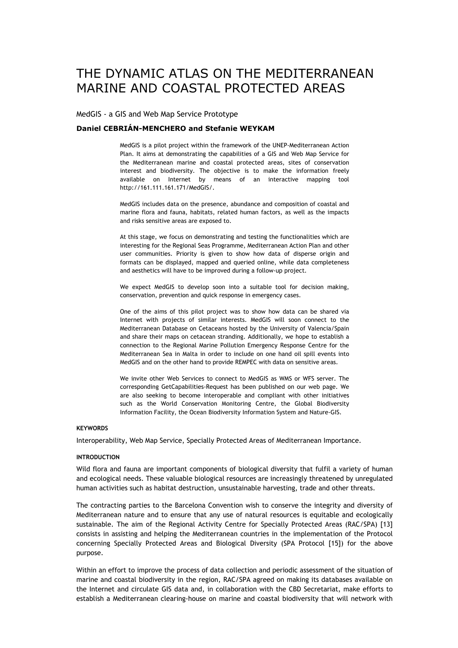# THE DYNAMIC ATLAS ON THE MEDITERRANEAN MARINE AND COASTAL PROTECTED AREAS

MedGIS - a GIS and Web Map Service Prototype

#### **Daniel CEBRIÁN-MENCHERO and Stefanie WEYKAM**

MedGIS is a pilot project within the framework of the UNEP-Mediterranean Action Plan. It aims at demonstrating the capabilities of a GIS and Web Map Service for the Mediterranean marine and coastal protected areas, sites of conservation interest and biodiversity. The objective is to make the information freely available on Internet by means of an interactive mapping tool http://161.111.161.171/MedGIS/.

MedGIS includes data on the presence, abundance and composition of coastal and marine flora and fauna, habitats, related human factors, as well as the impacts and risks sensitive areas are exposed to.

At this stage, we focus on demonstrating and testing the functionalities which are interesting for the Regional Seas Programme, Mediterranean Action Plan and other user communities. Priority is given to show how data of disperse origin and formats can be displayed, mapped and queried online, while data completeness and aesthetics will have to be improved during a follow-up project.

We expect MedGIS to develop soon into a suitable tool for decision making, conservation, prevention and quick response in emergency cases.

One of the aims of this pilot project was to show how data can be shared via Internet with projects of similar interests. MedGIS will soon connect to the Mediterranean Database on Cetaceans hosted by the University of Valencia/Spain and share their maps on cetacean stranding. Additionally, we hope to establish a connection to the Regional Marine Pollution Emergency Response Centre for the Mediterranean Sea in Malta in order to include on one hand oil spill events into MedGIS and on the other hand to provide REMPEC with data on sensitive areas.

We invite other Web Services to connect to MedGIS as WMS or WFS server. The corresponding GetCapabilities-Request has been published on our web page. We are also seeking to become interoperable and compliant with other initiatives such as the World Conservation Monitoring Centre, the Global Biodiversity Information Facility, the Ocean Biodiversity Information System and Nature-GIS.

#### **KEYWORDS**

Interoperability, Web Map Service, Specially Protected Areas of Mediterranean Importance.

#### **INTRODUCTION**

Wild flora and fauna are important components of biological diversity that fulfil a variety of human and ecological needs. These valuable biological resources are increasingly threatened by unregulated human activities such as habitat destruction, unsustainable harvesting, trade and other threats.

The contracting parties to the Barcelona Convention wish to conserve the integrity and diversity of Mediterranean nature and to ensure that any use of natural resources is equitable and ecologically sustainable. The aim of the Regional Activity Centre for Specially Protected Areas (RAC/SPA) [13] consists in assisting and helping the Mediterranean countries in the implementation of the Protocol concerning Specially Protected Areas and Biological Diversity (SPA Protocol [15]) for the above purpose.

Within an effort to improve the process of data collection and periodic assessment of the situation of marine and coastal biodiversity in the region, RAC/SPA agreed on making its databases available on the Internet and circulate GIS data and, in collaboration with the CBD Secretariat, make efforts to establish a Mediterranean clearing-house on marine and coastal biodiversity that will network with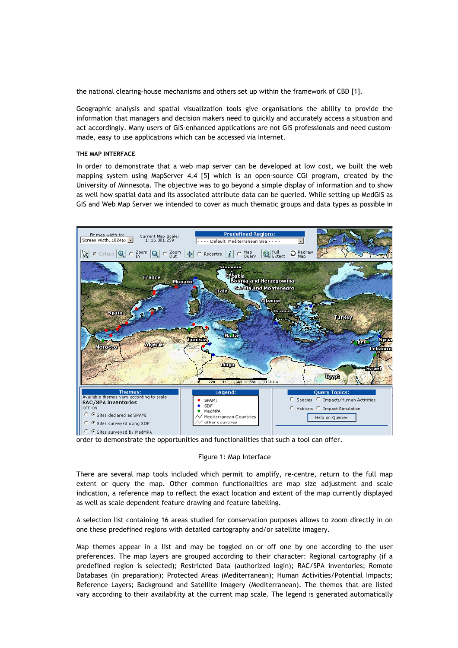the national clearing-house mechanisms and others set up within the framework of CBD [1].

Geographic analysis and spatial visualization tools give organisations the ability to provide the information that managers and decision makers need to quickly and accurately access a situation and act accordingly. Many users of GIS-enhanced applications are not GIS professionals and need custommade, easy to use applications which can be accessed via Internet.

#### **THE MAP INTERFACE**

In order to demonstrate that a web map server can be developed at low cost, we built the web mapping system using MapServer 4.4 [5] which is an open-source CGI program, created by the University of Minnesota. The objective was to go beyond a simple display of information and to show as well how spatial data and its associated attribute data can be queried. While setting up MedGIS as GIS and Web Map Server we intended to cover as much thematic groups and data types as possible in



order to demonstrate the opportunities and functionalities that such a tool can offer.

## Figure 1: Map Interface

There are several map tools included which permit to amplify, re-centre, return to the full map extent or query the map. Other common functionalities are map size adjustment and scale indication, a reference map to reflect the exact location and extent of the map currently displayed as well as scale dependent feature drawing and feature labelling.

A selection list containing 16 areas studied for conservation purposes allows to zoom directly in on one these predefined regions with detailed cartography and/or satellite imagery.

Map themes appear in a list and may be toggled on or off one by one according to the user preferences. The map layers are grouped according to their character: Regional cartography (if a predefined region is selected); Restricted Data (authorized login); RAC/SPA inventories; Remote Databases (in preparation); Protected Areas (Mediterranean); Human Activities/Potential Impacts; Reference Layers; Background and Satellite Imagery (Mediterranean). The themes that are listed vary according to their availability at the current map scale. The legend is generated automatically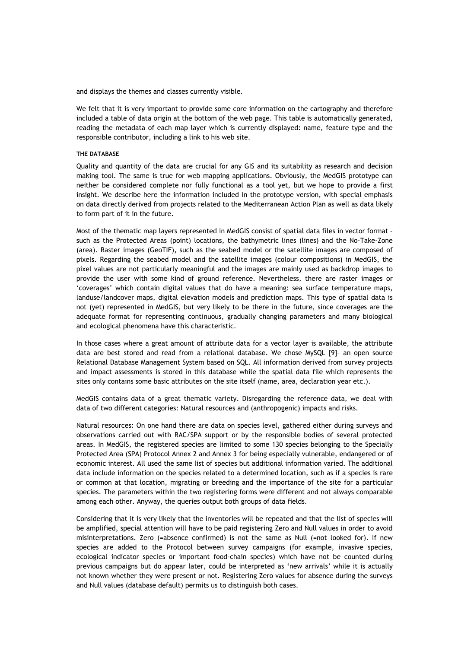and displays the themes and classes currently visible.

We felt that it is very important to provide some core information on the cartography and therefore included a table of data origin at the bottom of the web page. This table is automatically generated, reading the metadata of each map layer which is currently displayed: name, feature type and the responsible contributor, including a link to his web site.

#### **THE DATABASE**

Quality and quantity of the data are crucial for any GIS and its suitability as research and decision making tool. The same is true for web mapping applications. Obviously, the MedGIS prototype can neither be considered complete nor fully functional as a tool yet, but we hope to provide a first insight. We describe here the information included in the prototype version, with special emphasis on data directly derived from projects related to the Mediterranean Action Plan as well as data likely to form part of it in the future.

Most of the thematic map layers represented in MedGIS consist of spatial data files in vector format – such as the Protected Areas (point) locations, the bathymetric lines (lines) and the No-Take-Zone (area). Raster images (GeoTIF), such as the seabed model or the satellite images are composed of pixels. Regarding the seabed model and the satellite images (colour compositions) in MedGIS, the pixel values are not particularly meaningful and the images are mainly used as backdrop images to provide the user with some kind of ground reference. Nevertheless, there are raster images or 'coverages' which contain digital values that do have a meaning: sea surface temperature maps, landuse/landcover maps, digital elevation models and prediction maps. This type of spatial data is not (yet) represented in MedGIS, but very likely to be there in the future, since coverages are the adequate format for representing continuous, gradually changing parameters and many biological and ecological phenomena have this characteristic.

In those cases where a great amount of attribute data for a vector layer is available, the attribute data are best stored and read from a relational database. We chose MySQL [9]– an open source Relational Database Management System based on SQL. All information derived from survey projects and impact assessments is stored in this database while the spatial data file which represents the sites only contains some basic attributes on the site itself (name, area, declaration year etc.).

MedGIS contains data of a great thematic variety. Disregarding the reference data, we deal with data of two different categories: Natural resources and (anthropogenic) impacts and risks.

Natural resources: On one hand there are data on species level, gathered either during surveys and observations carried out with RAC/SPA support or by the responsible bodies of several protected areas. In MedGIS, the registered species are limited to some 130 species belonging to the Specially Protected Area (SPA) Protocol Annex 2 and Annex 3 for being especially vulnerable, endangered or of economic interest. All used the same list of species but additional information varied. The additional data include information on the species related to a determined location, such as if a species is rare or common at that location, migrating or breeding and the importance of the site for a particular species. The parameters within the two registering forms were different and not always comparable among each other. Anyway, the queries output both groups of data fields.

Considering that it is very likely that the inventories will be repeated and that the list of species will be amplified, special attention will have to be paid registering Zero and Null values in order to avoid misinterpretations. Zero (=absence confirmed) is not the same as Null (=not looked for). If new species are added to the Protocol between survey campaigns (for example, invasive species, ecological indicator species or important food-chain species) which have not be counted during previous campaigns but do appear later, could be interpreted as 'new arrivals' while it is actually not known whether they were present or not. Registering Zero values for absence during the surveys and Null values (database default) permits us to distinguish both cases.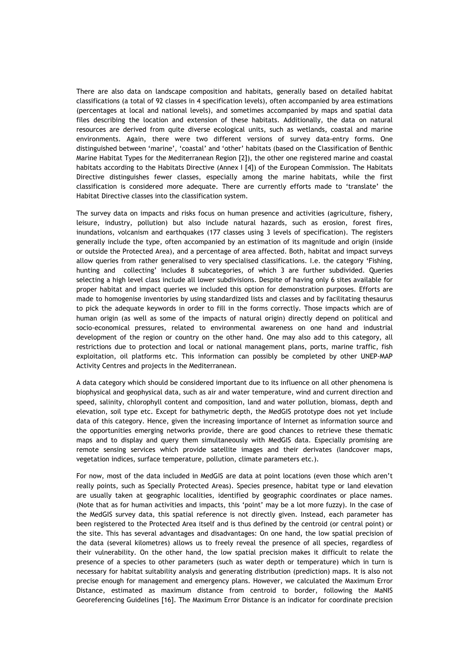There are also data on landscape composition and habitats, generally based on detailed habitat classifications (a total of 92 classes in 4 specification levels), often accompanied by area estimations (percentages at local and national levels), and sometimes accompanied by maps and spatial data files describing the location and extension of these habitats. Additionally, the data on natural resources are derived from quite diverse ecological units, such as wetlands, coastal and marine environments. Again, there were two different versions of survey data-entry forms. One distinguished between 'marine', 'coastal' and 'other' habitats (based on the Classification of Benthic Marine Habitat Types for the Mediterranean Region [2]), the other one registered marine and coastal habitats according to the Habitats Directive (Annex I [4]) of the European Commission. The Habitats Directive distinguishes fewer classes, especially among the marine habitats, while the first classification is considered more adequate. There are currently efforts made to 'translate' the Habitat Directive classes into the classification system.

The survey data on impacts and risks focus on human presence and activities (agriculture, fishery, leisure, industry, pollution) but also include natural hazards, such as erosion, forest fires, inundations, volcanism and earthquakes (177 classes using 3 levels of specification). The registers generally include the type, often accompanied by an estimation of its magnitude and origin (inside or outside the Protected Area), and a percentage of area affected. Both, habitat and impact surveys allow queries from rather generalised to very specialised classifications. I.e. the category 'Fishing, hunting and collecting' includes 8 subcategories, of which 3 are further subdivided. Queries selecting a high level class include all lower subdivisions. Despite of having only 6 sites available for proper habitat and impact queries we included this option for demonstration purposes. Efforts are made to homogenise inventories by using standardized lists and classes and by facilitating thesaurus to pick the adequate keywords in order to fill in the forms correctly. Those impacts which are of human origin (as well as some of the impacts of natural origin) directly depend on political and socio-economical pressures, related to environmental awareness on one hand and industrial development of the region or country on the other hand. One may also add to this category, all restrictions due to protection and local or national management plans, ports, marine traffic, fish exploitation, oil platforms etc. This information can possibly be completed by other UNEP-MAP Activity Centres and projects in the Mediterranean.

A data category which should be considered important due to its influence on all other phenomena is biophysical and geophysical data, such as air and water temperature, wind and current direction and speed, salinity, chlorophyll content and composition, land and water pollution, biomass, depth and elevation, soil type etc. Except for bathymetric depth, the MedGIS prototype does not yet include data of this category. Hence, given the increasing importance of Internet as information source and the opportunities emerging networks provide, there are good chances to retrieve these thematic maps and to display and query them simultaneously with MedGIS data. Especially promising are remote sensing services which provide satellite images and their derivates (landcover maps, vegetation indices, surface temperature, pollution, climate parameters etc.).

For now, most of the data included in MedGIS are data at point locations (even those which aren't really points, such as Specially Protected Areas). Species presence, habitat type or land elevation are usually taken at geographic localities, identified by geographic coordinates or place names. (Note that as for human activities and impacts, this 'point' may be a lot more fuzzy). In the case of the MedGIS survey data, this spatial reference is not directly given. Instead, each parameter has been registered to the Protected Area itself and is thus defined by the centroid (or central point) or the site. This has several advantages and disadvantages: On one hand, the low spatial precision of the data (several kilometres) allows us to freely reveal the presence of all species, regardless of their vulnerability. On the other hand, the low spatial precision makes it difficult to relate the presence of a species to other parameters (such as water depth or temperature) which in turn is necessary for habitat suitability analysis and generating distribution (prediction) maps. It is also not precise enough for management and emergency plans. However, we calculated the Maximum Error Distance, estimated as maximum distance from centroid to border, following the MaNIS Georeferencing Guidelines [16]. The Maximum Error Distance is an indicator for coordinate precision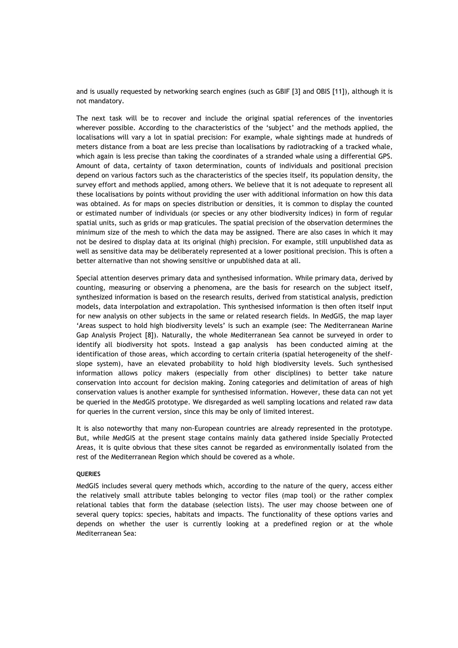and is usually requested by networking search engines (such as GBIF [3] and OBIS [11]), although it is not mandatory.

The next task will be to recover and include the original spatial references of the inventories wherever possible. According to the characteristics of the 'subject' and the methods applied, the localisations will vary a lot in spatial precision: For example, whale sightings made at hundreds of meters distance from a boat are less precise than localisations by radiotracking of a tracked whale, which again is less precise than taking the coordinates of a stranded whale using a differential GPS. Amount of data, certainty of taxon determination, counts of individuals and positional precision depend on various factors such as the characteristics of the species itself, its population density, the survey effort and methods applied, among others. We believe that it is not adequate to represent all these localisations by points without providing the user with additional information on how this data was obtained. As for maps on species distribution or densities, it is common to display the counted or estimated number of individuals (or species or any other biodiversity indices) in form of regular spatial units, such as grids or map graticules. The spatial precision of the observation determines the minimum size of the mesh to which the data may be assigned. There are also cases in which it may not be desired to display data at its original (high) precision. For example, still unpublished data as well as sensitive data may be deliberately represented at a lower positional precision. This is often a better alternative than not showing sensitive or unpublished data at all.

Special attention deserves primary data and synthesised information. While primary data, derived by counting, measuring or observing a phenomena, are the basis for research on the subject itself, synthesized information is based on the research results, derived from statistical analysis, prediction models, data interpolation and extrapolation. This synthesised information is then often itself input for new analysis on other subjects in the same or related research fields. In MedGIS, the map layer 'Areas suspect to hold high biodiversity levels' is such an example (see: The Mediterranean Marine Gap Analysis Project [8]). Naturally, the whole Mediterranean Sea cannot be surveyed in order to identify all biodiversity hot spots. Instead a gap analysis has been conducted aiming at the identification of those areas, which according to certain criteria (spatial heterogeneity of the shelfslope system), have an elevated probability to hold high biodiversity levels. Such synthesised information allows policy makers (especially from other disciplines) to better take nature conservation into account for decision making. Zoning categories and delimitation of areas of high conservation values is another example for synthesised information. However, these data can not yet be queried in the MedGIS prototype. We disregarded as well sampling locations and related raw data for queries in the current version, since this may be only of limited interest.

It is also noteworthy that many non-European countries are already represented in the prototype. But, while MedGIS at the present stage contains mainly data gathered inside Specially Protected Areas, it is quite obvious that these sites cannot be regarded as environmentally isolated from the rest of the Mediterranean Region which should be covered as a whole.

#### **QUERIES**

MedGIS includes several query methods which, according to the nature of the query, access either the relatively small attribute tables belonging to vector files (map tool) or the rather complex relational tables that form the database (selection lists). The user may choose between one of several query topics: species, habitats and impacts. The functionality of these options varies and depends on whether the user is currently looking at a predefined region or at the whole Mediterranean Sea: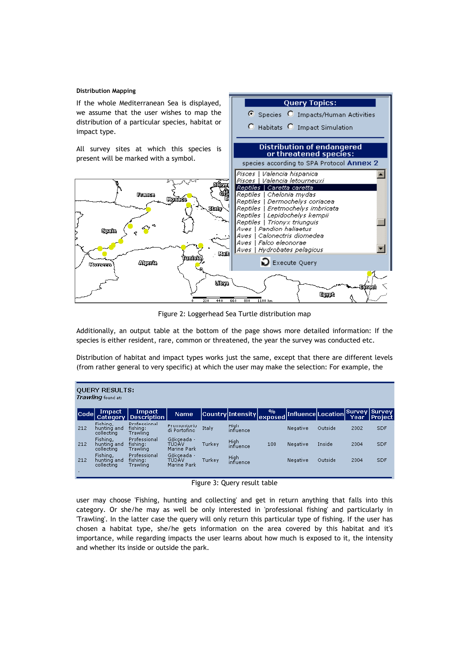#### **Distribution Mapping**

If the whole Mediterranean Sea is displayed, we assume that the user wishes to map the distribution of a particular species, habitat or impact type.

All survey sites at which this species is present will be marked with a symbol.



**Query Topics:** Species O Impacts/Human Activities

C Habitats C Impact Simulation

Figure 2: Loggerhead Sea Turtle distribution map

Additionally, an output table at the bottom of the page shows more detailed information: If the species is either resident, rare, common or threatened, the year the survey was conducted etc.

Distribution of habitat and impact types works just the same, except that there are different levels (from rather general to very specific) at which the user may make the selection: For example, the

| <b>QUERY RESULTS:</b><br>Trawling found at: |                                       |                                      |                                    |        |                          |                           |                           |         |      |                                  |  |  |
|---------------------------------------------|---------------------------------------|--------------------------------------|------------------------------------|--------|--------------------------|---------------------------|---------------------------|---------|------|----------------------------------|--|--|
| lCodel                                      | Impact<br><b>Category</b>             | <b>Impact</b><br>Description         | <b>Name</b>                        |        | Country <b>Intensity</b> | $\mathbf{v}_0$<br>exposed | <b>Influence</b> Location |         | Year | <b>Survey Survey</b><br> Project |  |  |
| 212                                         | Fishing,<br>hunting and<br>collecting | Professional<br>fishina:<br>Trawling | Promontorio<br>di Portofino        | Italy  | High<br>influence        |                           | Negative                  | Outside | 2002 | <b>SDF</b>                       |  |  |
| 212                                         | Fishing,<br>hunting and<br>collecting | Professional<br>fishina:<br>Trawling | Gökceada -<br>TÜDÄV<br>Marine Park | Turkev | High<br>influence        | 100                       | Negative                  | Inside  | 2004 | <b>SDF</b>                       |  |  |
| 212                                         | Fishing,<br>hunting and<br>collecting | Professional<br>fishing:<br>Trawling | Gökçeada -<br>TÜDÄV<br>Marine Park | Turkey | High<br>influence        |                           | Negative                  | Outside | 2004 | <b>SDF</b>                       |  |  |
|                                             |                                       |                                      |                                    |        |                          |                           |                           |         |      |                                  |  |  |

Figure 3: Query result table

user may choose 'Fishing, hunting and collecting' and get in return anything that falls into this category. Or she/he may as well be only interested in 'professional fishing' and particularly in 'Trawling'. In the latter case the query will only return this particular type of fishing. If the user has chosen a habitat type, she/he gets information on the area covered by this habitat and it's importance, while regarding impacts the user learns about how much is exposed to it, the intensity and whether its inside or outside the park.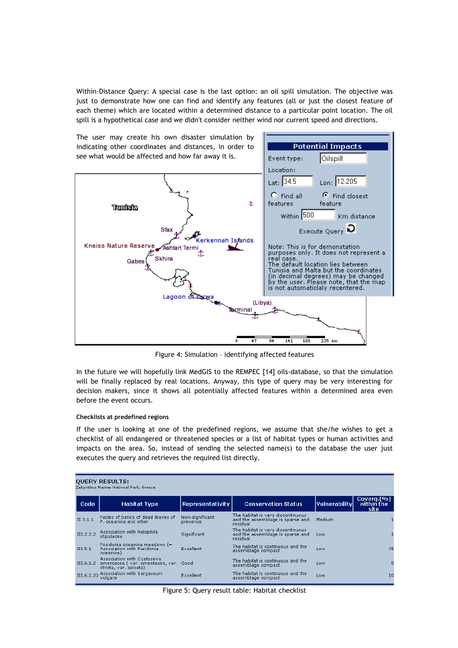Within-Distance Query: A special case is the last option: an oil spill simulation. The objective was just to demonstrate how one can find and identify any features (all or just the closest feature of each theme) which are located within a determined distance to a particular point location. The oil spill is a hypothetical case and we didn't consider neither wind nor current speed and directions.



Figure 4: Simulation – identifying affected features

In the future we will hopefully link MedGIS to the REMPEC [14] oils-database, so that the simulation will be finally replaced by real locations. Anyway, this type of query may be very interesting for decision makers, since it shows all potentially affected features within a determined area even before the event occurs.

## **Checklists at predefined regions**

If the user is looking at one of the predefined regions, we assume that she/he wishes to get a checklist of all endangered or threatened species or a list of habitat types or human activities and impacts on the area. So, instead of sending the selected name(s) to the database the user just executes the query and retrieves the required list directly.

| <b>QUERY RESULTS:</b><br>Zakynthos Marine National Park, Greece |                                                                                                |                             |                                                                                    |               |                                  |  |  |  |  |  |  |
|-----------------------------------------------------------------|------------------------------------------------------------------------------------------------|-----------------------------|------------------------------------------------------------------------------------|---------------|----------------------------------|--|--|--|--|--|--|
| Code                                                            | <b>Habitat Type</b>                                                                            | Representativity            | <b>Conservation Status</b>                                                         | Vulnerability | Coverg.[%]<br>within the<br>site |  |  |  |  |  |  |
| II.3.1.1                                                        | Facies of banks of dead leaves of<br>P, oceanica and other                                     | Non-significant<br>presence | The habitat is very discontinuous.<br>and the assemblage is sparse and<br>residual | Medium        |                                  |  |  |  |  |  |  |
| III.2.2.2                                                       | Association with Halophila<br>stipulacea                                                       | Significant                 | The habitat is very discontinuous.<br>and the assemblage is sparse and<br>residual | Low           |                                  |  |  |  |  |  |  |
| III.5.1                                                         | Posidonia oceanica meadows (=<br>Association with Posidonia<br>oceanica)                       | Excellent                   | The habitat is continuous and the<br>assemblage compact                            | Low           | 35                               |  |  |  |  |  |  |
| III.6.1.2                                                       | Association with Cystoseira<br>amentacea (var. amentacea, var. Good<br>stricta, var. spicata). |                             | The habitat is continuous and the<br>assemblage compact                            | Low           |                                  |  |  |  |  |  |  |
|                                                                 | III.6.1.20 Association with Sargassum<br>vulgare                                               | Excellent                   | The habitat is continuous and the<br>assemblage compact                            | Low           | 10                               |  |  |  |  |  |  |

Figure 5: Query result table: Habitat checklist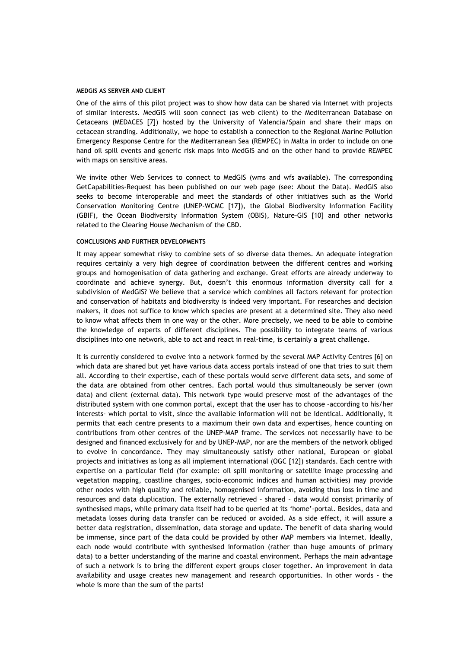#### **MEDGIS AS SERVER AND CLIENT**

One of the aims of this pilot project was to show how data can be shared via Internet with projects of similar interests. MedGIS will soon connect (as web client) to the Mediterranean Database on Cetaceans (MEDACES [7]) hosted by the University of Valencia/Spain and share their maps on cetacean stranding. Additionally, we hope to establish a connection to the Regional Marine Pollution Emergency Response Centre for the Mediterranean Sea (REMPEC) in Malta in order to include on one hand oil spill events and generic risk maps into MedGIS and on the other hand to provide REMPEC with maps on sensitive areas.

We invite other Web Services to connect to MedGIS (wms and wfs available). The corresponding GetCapabilities-Request has been published on our web page (see: About the Data). MedGIS also seeks to become interoperable and meet the standards of other initiatives such as the World Conservation Monitoring Centre (UNEP-WCMC [17]), the Global Biodiversity Information Facility (GBIF), the Ocean Biodiversity Information System (OBIS), Nature-GIS [10] and other networks related to the Clearing House Mechanism of the CBD.

#### **CONCLUSIONS AND FURTHER DEVELOPMENTS**

It may appear somewhat risky to combine sets of so diverse data themes. An adequate integration requires certainly a very high degree of coordination between the different centres and working groups and homogenisation of data gathering and exchange. Great efforts are already underway to coordinate and achieve synergy. But, doesn't this enormous information diversity call for a subdivision of MedGIS? We believe that a service which combines all factors relevant for protection and conservation of habitats and biodiversity is indeed very important. For researches and decision makers, it does not suffice to know which species are present at a determined site. They also need to know what affects them in one way or the other. More precisely, we need to be able to combine the knowledge of experts of different disciplines. The possibility to integrate teams of various disciplines into one network, able to act and react in real-time, is certainly a great challenge.

It is currently considered to evolve into a network formed by the several MAP Activity Centres [6] on which data are shared but yet have various data access portals instead of one that tries to suit them all. According to their expertise, each of these portals would serve different data sets, and some of the data are obtained from other centres. Each portal would thus simultaneously be server (own data) and client (external data). This network type would preserve most of the advantages of the distributed system with one common portal, except that the user has to choose –according to his/her interests- which portal to visit, since the available information will not be identical. Additionally, it permits that each centre presents to a maximum their own data and expertises, hence counting on contributions from other centres of the UNEP-MAP frame. The services not necessarily have to be designed and financed exclusively for and by UNEP-MAP, nor are the members of the network obliged to evolve in concordance. They may simultaneously satisfy other national, European or global projects and initiatives as long as all implement international (OGC [12]) standards. Each centre with expertise on a particular field (for example: oil spill monitoring or satellite image processing and vegetation mapping, coastline changes, socio-economic indices and human activities) may provide other nodes with high quality and reliable, homogenised information, avoiding thus loss in time and resources and data duplication. The externally retrieved – shared – data would consist primarily of synthesised maps, while primary data itself had to be queried at its 'home'-portal. Besides, data and metadata losses during data transfer can be reduced or avoided. As a side effect, it will assure a better data registration, dissemination, data storage and update. The benefit of data sharing would be immense, since part of the data could be provided by other MAP members via Internet. Ideally, each node would contribute with synthesised information (rather than huge amounts of primary data) to a better understanding of the marine and coastal environment. Perhaps the main advantage of such a network is to bring the different expert groups closer together. An improvement in data availability and usage creates new management and research opportunities. In other words - the whole is more than the sum of the parts!